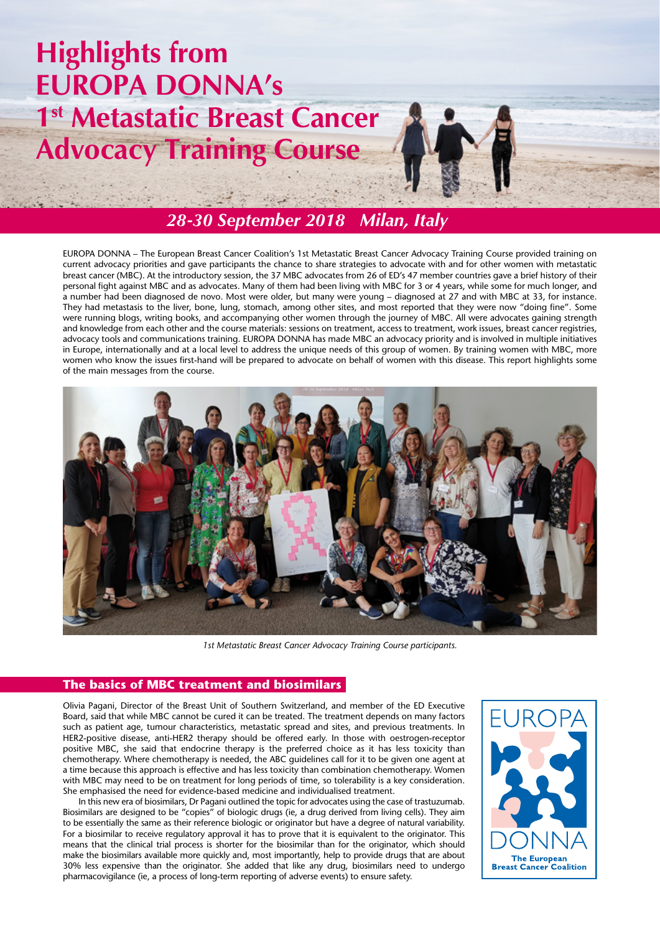# **Highlights from EUROPA DONNA's 1st Metastatic Breast Cancer Advocacy Training Course**



# *28-30 September 2018 Milan, Italy*

EUROPA DONNA – The European Breast Cancer Coalition's 1st Metastatic Breast Cancer Advocacy Training Course provided training on current advocacy priorities and gave participants the chance to share strategies to advocate with and for other women with metastatic breast cancer (MBC). At the introductory session, the 37 MBC advocates from 26 of ED's 47 member countries gave a brief history of their personal fight against MBC and as advocates. Many of them had been living with MBC for 3 or 4 years, while some for much longer, and a number had been diagnosed de novo. Most were older, but many were young – diagnosed at 27 and with MBC at 33, for instance. They had metastasis to the liver, bone, lung, stomach, among other sites, and most reported that they were now "doing fine". Some were running blogs, writing books, and accompanying other women through the journey of MBC. All were advocates gaining strength and knowledge from each other and the course materials: sessions on treatment, access to treatment, work issues, breast cancer registries, advocacy tools and communications training. EUROPA DONNA has made MBC an advocacy priority and is involved in multiple initiatives in Europe, internationally and at a local level to address the unique needs of this group of women. By training women with MBC, more women who know the issues first-hand will be prepared to advocate on behalf of women with this disease. This report highlights some of the main messages from the course.



*1st Metastatic Breast Cancer Advocacy Training Course participants.*

## **The basics of MBC treatment and biosimilars**

Olivia Pagani, Director of the Breast Unit of Southern Switzerland, and member of the ED Executive Board, said that while MBC cannot be cured it can be treated. The treatment depends on many factors such as patient age, tumour characteristics, metastatic spread and sites, and previous treatments. In HER2-positive disease, anti-HER2 therapy should be offered early. In those with oestrogen-receptor positive MBC, she said that endocrine therapy is the preferred choice as it has less toxicity than chemotherapy. Where chemotherapy is needed, the ABC guidelines call for it to be given one agent at a time because this approach is effective and has less toxicity than combination chemotherapy. Women with MBC may need to be on treatment for long periods of time, so tolerability is a key consideration. She emphasised the need for evidence-based medicine and individualised treatment.

In this new era of biosimilars, Dr Pagani outlined the topic for advocates using the case of trastuzumab. Biosimilars are designed to be "copies" of biologic drugs (ie, a drug derived from living cells). They aim to be essentially the same as their reference biologic or originator but have a degree of natural variability. For a biosimilar to receive regulatory approval it has to prove that it is equivalent to the originator. This means that the clinical trial process is shorter for the biosimilar than for the originator, which should make the biosimilars available more quickly and, most importantly, help to provide drugs that are about 30% less expensive than the originator. She added that like any drug, biosimilars need to undergo pharmacovigilance (ie, a process of long-term reporting of adverse events) to ensure safety.

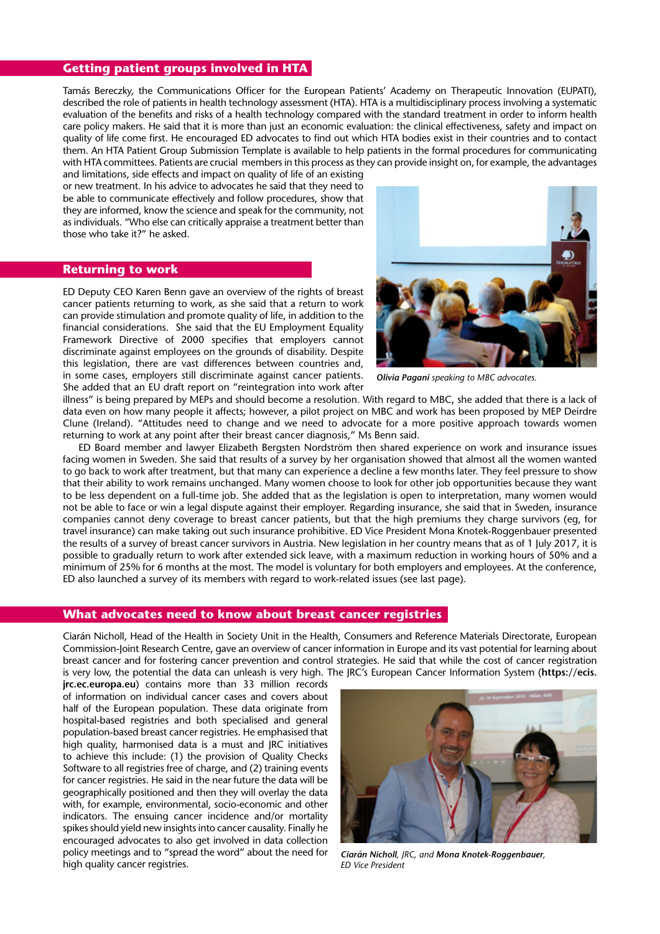#### **Getting patient groups involved in HTA**

Tamás Bereczky, the Communications Officer for the European Patients' Academy on Therapeutic Innovation (EUPATI), described the role of patients in health technology assessment (HTA). HTA is a multidisciplinary process involving a systematic evaluation of the benefits and risks of a health technology compared with the standard treatment in order to inform health care policy makers. He said that it is more than just an economic evaluation: the clinical effectiveness, safety and impact on quality of life come first. He encouraged ED advocates to find out which HTA bodies exist in their countries and to contact them. An HTA Patient Group Submission Template is available to help patients in the formal procedures for communicating with HTA committees. Patients are crucial members in this process as they can provide insight on, for example, the advantages

and limitations, side effects and impact on quality of life of an existing or new treatment. In his advice to advocates he said that they need to be able to communicate effectively and follow procedures, show that they are informed, know the science and speak for the community, not as individuals. "Who else can critically appraise a treatment better than those who take it?" he asked.

#### **Returning to work**

ED Deputy CEO Karen Benn gave an overview of the rights of breast cancer patients returning to work, as she said that a return to work can provide stimulation and promote quality of life, in addition to the financial considerations. She said that the EU Employment Equality Framework Directive of 2000 specifies that employers cannot discriminate against employees on the grounds of disability. Despite this legislation, there are vast differences between countries and, in some cases, employers still discriminate against cancer patients. She added that an EU draft report on "reintegration into work after



*Olivia Pagani speaking to MBC advocates.*

illness" is being prepared by MEPs and should become a resolution. With regard to MBC, she added that there is a lack of data even on how many people it affects; however, a pilot project on MBC and work has been proposed by MEP Deirdre Clune (Ireland). "Attitudes need to change and we need to advocate for a more positive approach towards women returning to work at any point after their breast cancer diagnosis," Ms Benn said.

ED Board member and lawyer Elizabeth Bergsten Nordström then shared experience on work and insurance issues facing women in Sweden. She said that results of a survey by her organisation showed that almost all the women wanted to go back to work after treatment, but that many can experience a decline a few months later. They feel pressure to show that their ability to work remains unchanged. Many women choose to look for other job opportunities because they want to be less dependent on a full-time job. She added that as the legislation is open to interpretation, many women would not be able to face or win a legal dispute against their employer. Regarding insurance, she said that in Sweden, insurance companies cannot deny coverage to breast cancer patients, but that the high premiums they charge survivors (eg, for travel insurance) can make taking out such insurance prohibitive. ED Vice President Mona Knotek-Roggenbauer presented the results of a survey of breast cancer survivors in Austria. New legislation in her country means that as of 1 July 2017, it is possible to gradually return to work after extended sick leave, with a maximum reduction in working hours of 50% and a minimum of 25% for 6 months at the most. The model is voluntary for both employers and employees. At the conference, ED also launched a survey of its members with regard to work-related issues (see last page).

## **What advocates need to know about breast cancer registries**

Ciarán Nicholl, Head of the Health in Society Unit in the Health, Consumers and Reference Materials Directorate, European Commission-Joint Research Centre, gave an overview of cancer information in Europe and its vast potential for learning about breast cancer and for fostering cancer prevention and control strategies. He said that while the cost of cancer registration is very low, the potential the data can unleash is very high. The JRC's European Cancer Information System (**https://ecis.**

**jrc.ec.europa.eu**) contains more than 33 million records of information on individual cancer cases and covers about half of the European population. These data originate from hospital-based registries and both specialised and general population-based breast cancer registries. He emphasised that high quality, harmonised data is a must and IRC initiatives to achieve this include: (1) the provision of Quality Checks Software to all registries free of charge, and (2) training events for cancer registries. He said in the near future the data will be geographically positioned and then they will overlay the data with, for example, environmental, socio-economic and other indicators. The ensuing cancer incidence and/or mortality spikes should yield new insights into cancer causality. Finally he encouraged advocates to also get involved in data collection policy meetings and to "spread the word" about the need for high quality cancer registries.



*Ciarán Nicholl, JRC, and Mona Knotek-Roggenbauer, ED Vice President*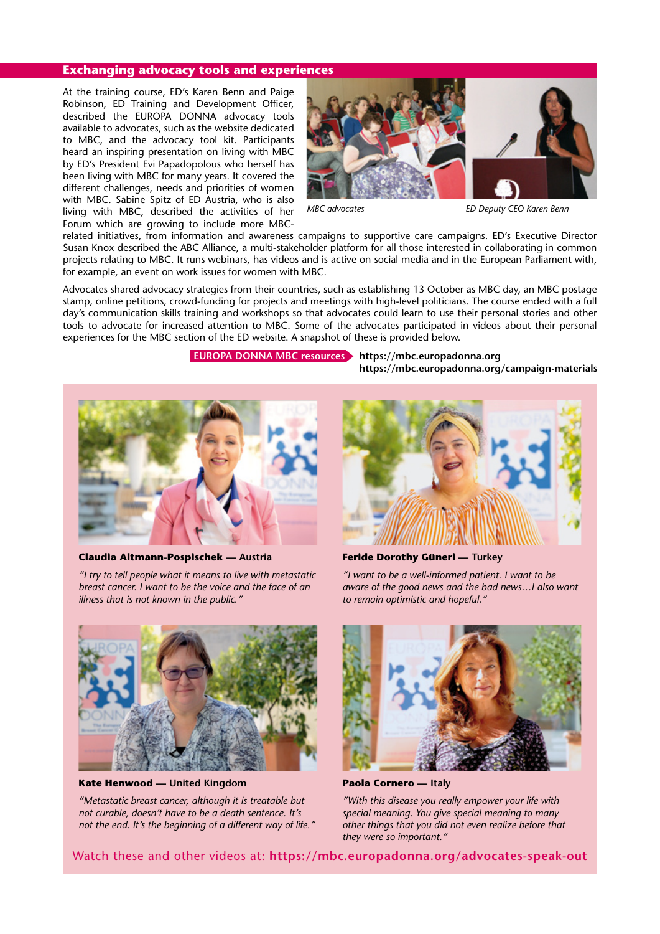#### **Exchanging advocacy tools and experiences**

At the training course, ED's Karen Benn and Paige Robinson, ED Training and Development Officer, described the EUROPA DONNA advocacy tools available to advocates, such as the website dedicated to MBC, and the advocacy tool kit. Participants heard an inspiring presentation on living with MBC by ED's President Evi Papadopolous who herself has been living with MBC for many years. It covered the different challenges, needs and priorities of women with MBC. Sabine Spitz of ED Austria, who is also living with MBC, described the activities of her Forum which are growing to include more MBC-



*MBC advocates ED Deputy CEO Karen Benn*

related initiatives, from information and awareness campaigns to supportive care campaigns. ED's Executive Director Susan Knox described the ABC Alliance, a multi-stakeholder platform for all those interested in collaborating in common projects relating to MBC. It runs webinars, has videos and is active on social media and in the European Parliament with, for example, an event on work issues for women with MBC.

Advocates shared advocacy strategies from their countries, such as establishing 13 October as MBC day, an MBC postage stamp, online petitions, crowd-funding for projects and meetings with high-level politicians. The course ended with a full day's communication skills training and workshops so that advocates could learn to use their personal stories and other tools to advocate for increased attention to MBC. Some of the advocates participated in videos about their personal experiences for the MBC section of the ED website. A snapshot of these is provided below.

## **EUROPA DONNA MBC resources https://mbc.europadonna.org**

**https://mbc.europadonna.org/campaign-materials**



**Claudia Altmann-Pospischek — Austria**

*"I try to tell people what it means to live with metastatic breast cancer. I want to be the voice and the face of an illness that is not known in the public."*



**Feride Dorothy Güneri — Turkey**

*"I want to be a well-informed patient. I want to be aware of the good news and the bad news…I also want to remain optimistic and hopeful."*



**Kate Henwood — United Kingdom**

*"Metastatic breast cancer, although it is treatable but not curable, doesn't have to be a death sentence. It's not the end. It's the beginning of a different way of life."*



**Paola Cornero — Italy**

*"With this disease you really empower your life with special meaning. You give special meaning to many other things that you did not even realize before that they were so important."*

Watch these and other videos at: **https://mbc.europadonna.org/advocates-speak-out**